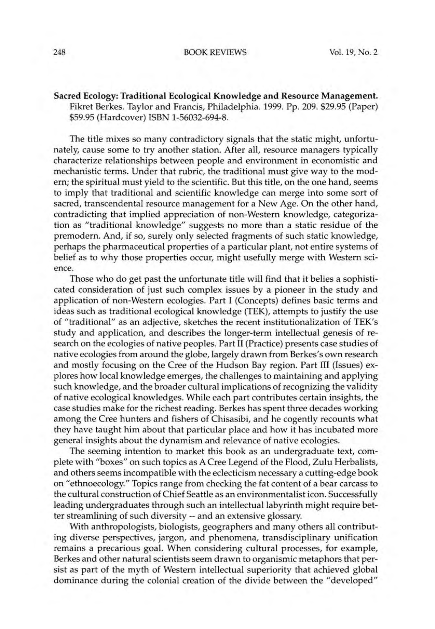## Sacred Ecology: Traditional Ecological Knowledge and Resource Management. Fikret Berkes. Taylor and Francis, Philadelphia. 1999. Pp. 209. \$29.95 (Paper) \$59.95(Hardcover) ISBN 1-56032-694-8.

The title mixes so many contradictory signals that the static might, unfortunately, cause some to try another station. After all, resource managers typically characterize relationships between people and environment in economistic and mechanistic terms. Under that rubric, the traditional must give way to the modern; the spiritual must yield to the scientific. But this title, on the one hand, seems to imply that traditional and scientific knowledge can merge into some sort of sacred, transcendental resource management for a New Age. On the other hand, contradicting that implied appreciation of non-Western knowledge, categorization as "traditional knowledge" suggests no more than a static residue of the premodern. And, if so, surely only selected fragments of such static knowledge, perhaps the pharmaceutical properties of a particular plant, not entire systems of belief as to why those properties occur, might usefully merge with Western science.

Those who do get past the unfortunate title will find that it belies a sophisticated consideration of just such complex issues by a pioneer in the study and application of non-Western ecologies. Part I (Concepts) defines basic terms and ideas such as traditional ecological knowledge (TEK), attempts to justify the use of "traditional" as an adjective, sketches the recent institutionalization of TEK's study and application, and describes the longer-term intellectual genesis of research on the ecologies of native peoples. Part II (Practice) presents case studies of native ecologies from around the globe, largely drawn from Berkes's own research and mostly focusing on the Cree of the Hudson Bay region. Part III (Issues) explores how local knowledge emerges, the challenges to maintaining and applying such knowledge, and the broader cultural implications of recognizing the validity of native ecological knowledges. While each part contributes certain insights, the case studies make for the richest reading. Berkes has spent three decades working among the Cree hunters and fishers of Chisasibi, and he cogently recounts what they have taught him about that particular place and how it has incubated more general insights about the dynamism and relevance of native ecologies.

The seeming intention to market this book as an undergraduate text, complete with "boxes" on such topics as A Cree Legend of the Flood, Zulu Herbalists, and others seems incompatible with the eclecticism necessary a cutting-edge book on "ethnoecology." Topics range from checking the fat content of a bear carcass to the cultural construction of Chief Seattle as an environmentalist icon. Successfully leading undergraduates through such an intellectual labyrinth might require better streamlining of such diversity -- and an extensive glossary.

With anthropologists, biologists, geographers and many others all contributing diverse perspectives, jargon, and phenomena, transdisciplinary unification remains a precarious goal. When considering cultural processes, for example, Berkes and other natural scientists seem drawn to organismic metaphors that persist as part of the myth of Western intellectual superiority that achieved global dominance during the colonial creation of the divide between the "developed"